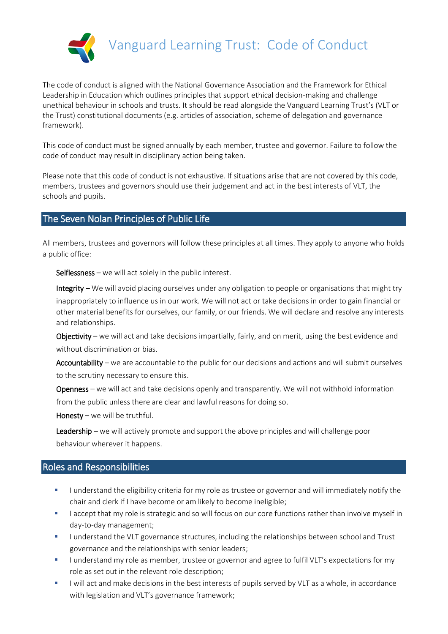

The code of conduct is aligned with the National Governance Association and the Framework for Ethical Leadership in Education which outlines principles that support ethical decision-making and challenge unethical behaviour in schools and trusts. It should be read alongside the Vanguard Learning Trust's (VLT or the Trust) constitutional documents (e.g. articles of association, scheme of delegation and governance framework).

This code of conduct must be signed annually by each member, trustee and governor. Failure to follow the code of conduct may result in disciplinary action being taken.

Please note that this code of conduct is not exhaustive. If situations arise that are not covered by this code, members, trustees and governors should use their judgement and act in the best interests of VLT, the schools and pupils.

## The Seven Nolan Principles of Public Life

All members, trustees and governors will follow these principles at all times. They apply to anyone who holds a public office:

Selflessness – we will act solely in the public interest.

Integrity – We will avoid placing ourselves under any obligation to people or organisations that might try inappropriately to influence us in our work. We will not act or take decisions in order to gain financial or other material benefits for ourselves, our family, or our friends. We will declare and resolve any interests and relationships.

Objectivity – we will act and take decisions impartially, fairly, and on merit, using the best evidence and without discrimination or bias.

Accountability – we are accountable to the public for our decisions and actions and will submit ourselves to the scrutiny necessary to ensure this.

Openness – we will act and take decisions openly and transparently. We will not withhold information from the public unless there are clear and lawful reasons for doing so.

Honesty – we will be truthful.

Leadership – we will actively promote and support the above principles and will challenge poor behaviour wherever it happens.

#### Roles and Responsibilities

- I understand the eligibility criteria for my role as trustee or governor and will immediately notify the chair and clerk if I have become or am likely to become ineligible;
- I accept that my role is strategic and so will focus on our core functions rather than involve myself in day-to-day management;
- I understand the VLT governance structures, including the relationships between school and Trust governance and the relationships with senior leaders;
- I understand my role as member, trustee or governor and agree to fulfil VLT's expectations for my role as set out in the relevant role description;
- I will act and make decisions in the best interests of pupils served by VLT as a whole, in accordance with legislation and VLT's governance framework;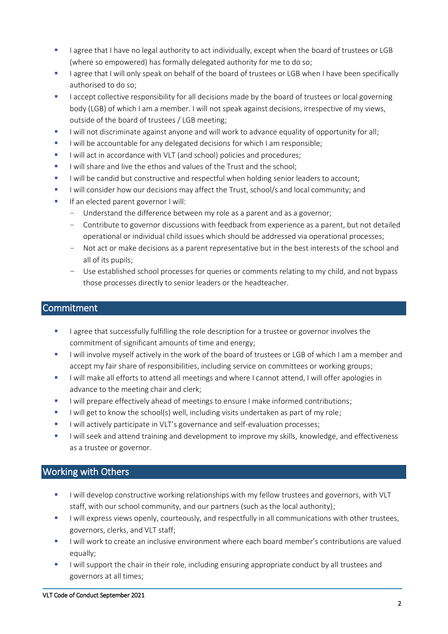- I agree that I have no legal authority to act individually, except when the board of trustees or LGB (where so empowered) has formally delegated authority for me to do so;
- I agree that I will only speak on behalf of the board of trustees or LGB when I have been specifically authorised to do so;
- I accept collective responsibility for all decisions made by the board of trustees or local governing body (LGB) of which I am a member. I will not speak against decisions, irrespective of my views, outside of the board of trustees / LGB meeting;
- I will not discriminate against anyone and will work to advance equality of opportunity for all;
- I will be accountable for any delegated decisions for which I am responsible;
- I will act in accordance with VLT (and school) policies and procedures;
- I will share and live the ethos and values of the Trust and the school;
- I will be candid but constructive and respectful when holding senior leaders to account;
- I will consider how our decisions may affect the Trust, school/s and local community; and
- If an elected parent governor I will:
	- Understand the difference between my role as a parent and as a governor;
	- Contribute to governor discussions with feedback from experience as a parent, but not detailed operational or individual child issues which should be addressed via operational processes;
	- Not act or make decisions as a parent representative but in the best interests of the school and all of its pupils;
	- Use established school processes for queries or comments relating to my child, and not bypass those processes directly to senior leaders or the headteacher.

### **Commitment**

- **I** agree that successfully fulfilling the role description for a trustee or governor involves the commitment of significant amounts of time and energy;
- I will involve myself actively in the work of the board of trustees or LGB of which I am a member and accept my fair share of responsibilities, including service on committees or working groups;
- I will make all efforts to attend all meetings and where I cannot attend, I will offer apologies in advance to the meeting chair and clerk;
- I will prepare effectively ahead of meetings to ensure I make informed contributions;
- I will get to know the school(s) well, including visits undertaken as part of my role;
- I will actively participate in VLT's governance and self-evaluation processes;
- I will seek and attend training and development to improve my skills, knowledge, and effectiveness as a trustee or governor.

# Working with Others

- I will develop constructive working relationships with my fellow trustees and governors, with VLT staff, with our school community, and our partners (such as the local authority);
- I will express views openly, courteously, and respectfully in all communications with other trustees, governors, clerks, and VLT staff;
- I will work to create an inclusive environment where each board member's contributions are valued equally;
- I will support the chair in their role, including ensuring appropriate conduct by all trustees and governors at all times;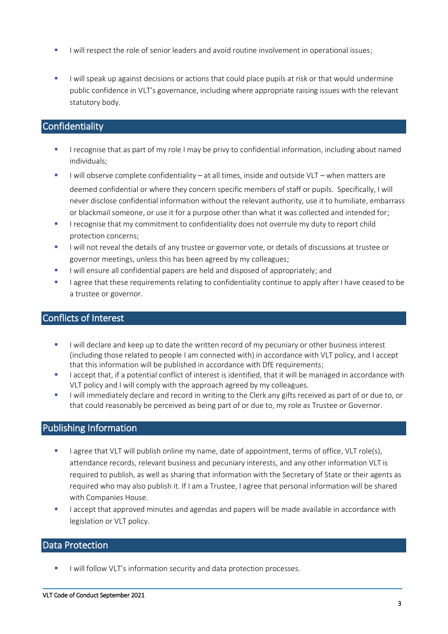- I will respect the role of senior leaders and avoid routine involvement in operational issues;
- I will speak up against decisions or actions that could place pupils at risk or that would undermine public confidence in VLT's governance, including where appropriate raising issues with the relevant statutory body.

### **Confidentiality**

- I recognise that as part of my role I may be privy to confidential information, including about named individuals;
- I will observe complete confidentiality at all times, inside and outside VLT when matters are deemed confidential or where they concern specific members of staff or pupils. Specifically, I will never disclose confidential information without the relevant authority, use it to humiliate, embarrass or blackmail someone, or use it for a purpose other than what it was collected and intended for;
- **I** recognise that my commitment to confidentiality does not overrule my duty to report child protection concerns;
- I will not reveal the details of any trustee or governor vote, or details of discussions at trustee or governor meetings, unless this has been agreed by my colleagues;
- I will ensure all confidential papers are held and disposed of appropriately; and
- I agree that these requirements relating to confidentiality continue to apply after I have ceased to be a trustee or governor.

#### Conflicts of Interest

- I will declare and keep up to date the written record of my pecuniary or other business interest (including those related to people I am connected with) in accordance with VLT policy, and I accept that this information will be published in accordance with DfE requirements;
- I accept that, if a potential conflict of interest is identified, that it will be managed in accordance with VLT policy and I will comply with the approach agreed by my colleagues.
- I will immediately declare and record in writing to the Clerk any gifts received as part of or due to, or that could reasonably be perceived as being part of or due to, my role as Trustee or Governor.

### Publishing Information

- I agree that VLT will publish online my name, date of appointment, terms of office, VLT role(s), attendance records, relevant business and pecuniary interests, and any other information VLT is required to publish, as well as sharing that information with the Secretary of State or their agents as required who may also publish it. If I am a Trustee, I agree that personal information will be shared with Companies House.
- I accept that approved minutes and agendas and papers will be made available in accordance with legislation or VLT policy.

### Data Protection

I will follow VLT's information security and data protection processes.